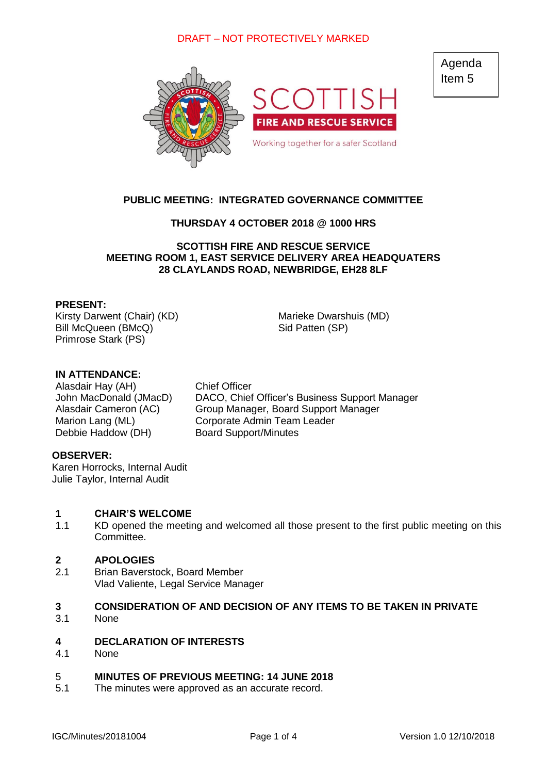

# **PUBLIC MEETING: INTEGRATED GOVERNANCE COMMITTEE**

# **THURSDAY 4 OCTOBER 2018 @ 1000 HRS**

### **SCOTTISH FIRE AND RESCUE SERVICE MEETING ROOM 1, EAST SERVICE DELIVERY AREA HEADQUATERS 28 CLAYLANDS ROAD, NEWBRIDGE, EH28 8LF**

### **PRESENT:**

Kirsty Darwent (Chair) (KD) Marieke Dwarshuis (MD) Bill McQueen (BMcQ) Sid Patten (SP) Primrose Stark (PS)

### **IN ATTENDANCE:**

Alasdair Hay (AH) Chief Officer Debbie Haddow (DH) Board Support/Minutes

John MacDonald (JMacD) DACO, Chief Officer's Business Support Manager Alasdair Cameron (AC) Group Manager, Board Support Manager Marion Lang (ML) Corporate Admin Team Leader

### **OBSERVER:**

Karen Horrocks, Internal Audit Julie Taylor, Internal Audit

#### **1 CHAIR'S WELCOME**

1.1 KD opened the meeting and welcomed all those present to the first public meeting on this Committee.

#### **2 APOLOGIES**

2.1 Brian Baverstock, Board Member Vlad Valiente, Legal Service Manager

### **3 CONSIDERATION OF AND DECISION OF ANY ITEMS TO BE TAKEN IN PRIVATE**

3.1 None

#### **4 DECLARATION OF INTERESTS**

4.1 None

#### 5 **MINUTES OF PREVIOUS MEETING: 14 JUNE 2018**

5.1 The minutes were approved as an accurate record. Agenda Item 5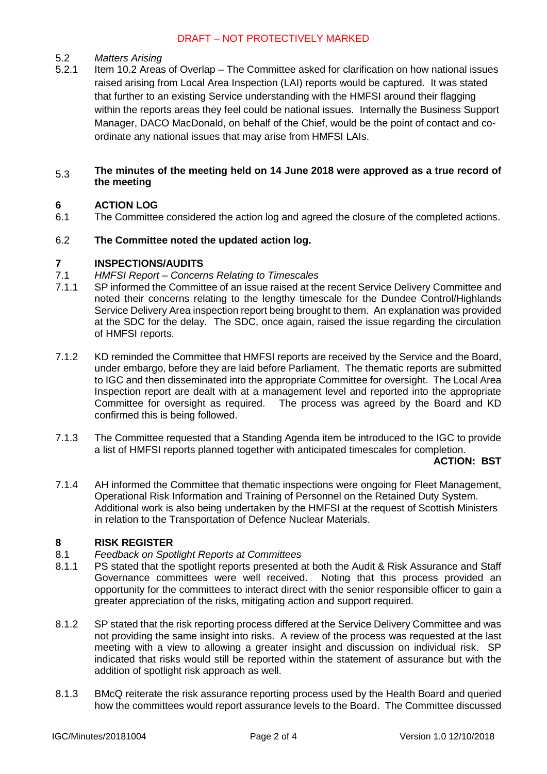#### 5.2 *Matters Arising*

5.2.1 Item 10.2 Areas of Overlap – The Committee asked for clarification on how national issues raised arising from Local Area Inspection (LAI) reports would be captured. It was stated that further to an existing Service understanding with the HMFSI around their flagging within the reports areas they feel could be national issues. Internally the Business Support Manager, DACO MacDonald, on behalf of the Chief, would be the point of contact and coordinate any national issues that may arise from HMFSI LAIs.

### 5.3 **The minutes of the meeting held on 14 June 2018 were approved as a true record of the meeting**

#### **6 ACTION LOG**

6.1 The Committee considered the action log and agreed the closure of the completed actions.

#### 6.2 **The Committee noted the updated action log.**

#### **7 INSPECTIONS/AUDITS**

- 7.1 *HMFSI Report – Concerns Relating to Timescales*
- 7.1.1 SP informed the Committee of an issue raised at the recent Service Delivery Committee and noted their concerns relating to the lengthy timescale for the Dundee Control/Highlands Service Delivery Area inspection report being brought to them. An explanation was provided at the SDC for the delay. The SDC, once again, raised the issue regarding the circulation of HMFSI reports.
- 7.1.2 KD reminded the Committee that HMFSI reports are received by the Service and the Board, under embargo, before they are laid before Parliament. The thematic reports are submitted to IGC and then disseminated into the appropriate Committee for oversight. The Local Area Inspection report are dealt with at a management level and reported into the appropriate Committee for oversight as required. The process was agreed by the Board and KD confirmed this is being followed.
- 7.1.3 The Committee requested that a Standing Agenda item be introduced to the IGC to provide a list of HMFSI reports planned together with anticipated timescales for completion.

**ACTION: BST**

7.1.4 AH informed the Committee that thematic inspections were ongoing for Fleet Management, Operational Risk Information and Training of Personnel on the Retained Duty System. Additional work is also being undertaken by the HMFSI at the request of Scottish Ministers in relation to the Transportation of Defence Nuclear Materials.

# **8 RISK REGISTER**

- 8.1 *Feedback on Spotlight Reports at Committees*
- 8.1.1 PS stated that the spotlight reports presented at both the Audit & Risk Assurance and Staff Governance committees were well received. Noting that this process provided an opportunity for the committees to interact direct with the senior responsible officer to gain a greater appreciation of the risks, mitigating action and support required.
- 8.1.2 SP stated that the risk reporting process differed at the Service Delivery Committee and was not providing the same insight into risks. A review of the process was requested at the last meeting with a view to allowing a greater insight and discussion on individual risk. SP indicated that risks would still be reported within the statement of assurance but with the addition of spotlight risk approach as well.
- 8.1.3 BMcQ reiterate the risk assurance reporting process used by the Health Board and queried how the committees would report assurance levels to the Board. The Committee discussed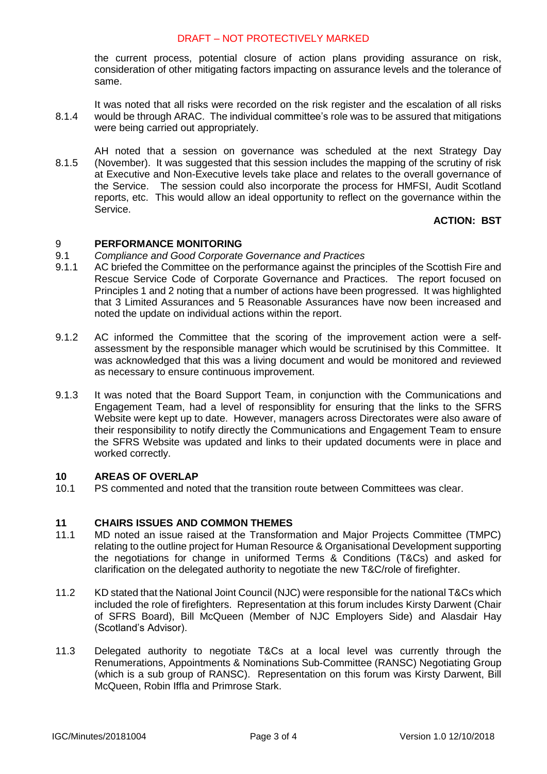the current process, potential closure of action plans providing assurance on risk, consideration of other mitigating factors impacting on assurance levels and the tolerance of same.

- 8.1.4 It was noted that all risks were recorded on the risk register and the escalation of all risks would be through ARAC. The individual committee's role was to be assured that mitigations were being carried out appropriately.
- 8.1.5 AH noted that a session on governance was scheduled at the next Strategy Day (November). It was suggested that this session includes the mapping of the scrutiny of risk at Executive and Non-Executive levels take place and relates to the overall governance of the Service. The session could also incorporate the process for HMFSI, Audit Scotland reports, etc. This would allow an ideal opportunity to reflect on the governance within the Service.

# **ACTION: BST**

#### 9 **PERFORMANCE MONITORING**

- 9.1 *Compliance and Good Corporate Governance and Practices*
- 9.1.1 AC briefed the Committee on the performance against the principles of the Scottish Fire and Rescue Service Code of Corporate Governance and Practices. The report focused on Principles 1 and 2 noting that a number of actions have been progressed. It was highlighted that 3 Limited Assurances and 5 Reasonable Assurances have now been increased and noted the update on individual actions within the report.
- 9.1.2 AC informed the Committee that the scoring of the improvement action were a selfassessment by the responsible manager which would be scrutinised by this Committee. It was acknowledged that this was a living document and would be monitored and reviewed as necessary to ensure continuous improvement.
- 9.1.3 It was noted that the Board Support Team, in conjunction with the Communications and Engagement Team, had a level of responsiblity for ensuring that the links to the SFRS Website were kept up to date. However, managers across Directorates were also aware of their responsibility to notify directly the Communications and Engagement Team to ensure the SFRS Website was updated and links to their updated documents were in place and worked correctly.

#### **10 AREAS OF OVERLAP**

10.1 PS commented and noted that the transition route between Committees was clear.

#### **11 CHAIRS ISSUES AND COMMON THEMES**

- 11.1 MD noted an issue raised at the Transformation and Major Projects Committee (TMPC) relating to the outline project for Human Resource & Organisational Development supporting the negotiations for change in uniformed Terms & Conditions (T&Cs) and asked for clarification on the delegated authority to negotiate the new T&C/role of firefighter.
- 11.2 KD stated that the National Joint Council (NJC) were responsible for the national T&Cs which included the role of firefighters. Representation at this forum includes Kirsty Darwent (Chair of SFRS Board), Bill McQueen (Member of NJC Employers Side) and Alasdair Hay (Scotland's Advisor).
- 11.3 Delegated authority to negotiate T&Cs at a local level was currently through the Renumerations, Appointments & Nominations Sub-Committee (RANSC) Negotiating Group (which is a sub group of RANSC). Representation on this forum was Kirsty Darwent, Bill McQueen, Robin Iffla and Primrose Stark.